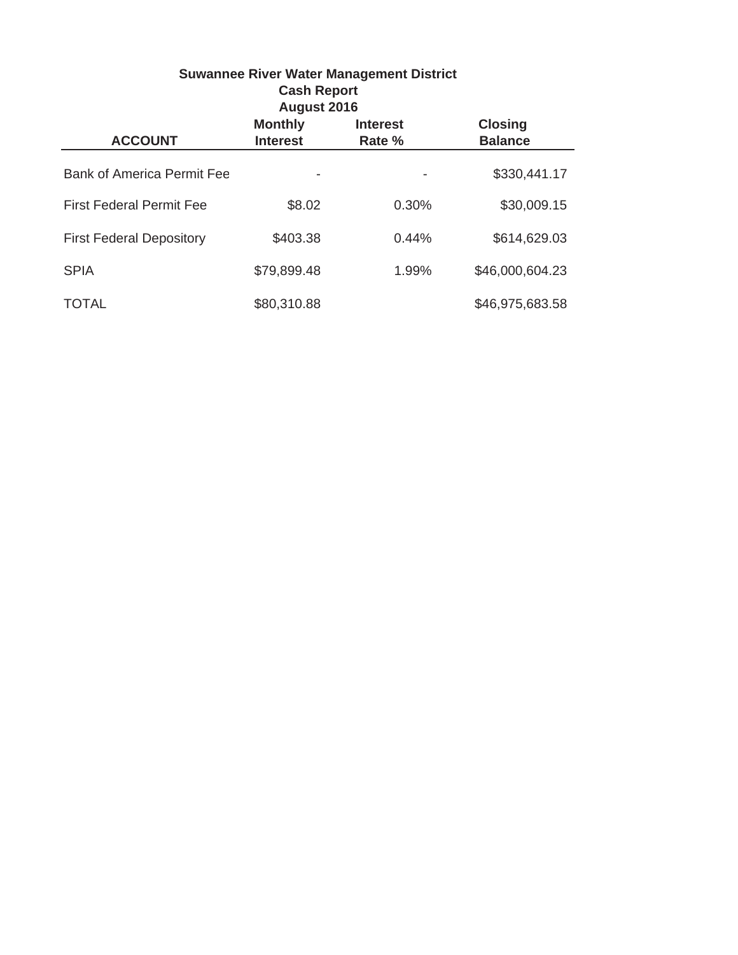| <b>Suwannee River Water Management District</b><br><b>Cash Report</b><br>August 2016 |                                   |                           |                                  |  |  |
|--------------------------------------------------------------------------------------|-----------------------------------|---------------------------|----------------------------------|--|--|
| <b>ACCOUNT</b>                                                                       | <b>Monthly</b><br><b>Interest</b> | <b>Interest</b><br>Rate % | <b>Closing</b><br><b>Balance</b> |  |  |
| <b>Bank of America Permit Fee</b>                                                    |                                   |                           | \$330,441.17                     |  |  |
| <b>First Federal Permit Fee</b>                                                      | \$8.02                            | 0.30%                     | \$30,009.15                      |  |  |
| <b>First Federal Depository</b>                                                      | \$403.38                          | 0.44%                     | \$614,629.03                     |  |  |
| <b>SPIA</b>                                                                          | \$79,899.48                       | 1.99%                     | \$46,000,604.23                  |  |  |
| <b>TOTAL</b>                                                                         | \$80,310.88                       |                           | \$46,975,683.58                  |  |  |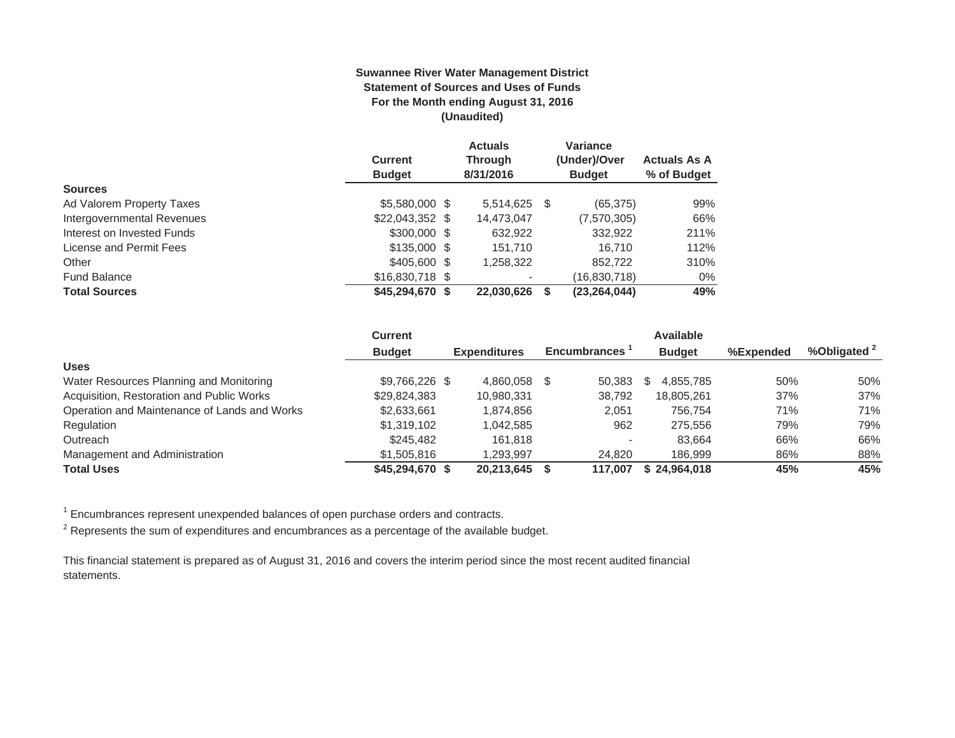#### **Suwannee River Water Management District Statement of Sources and Uses of Funds For the Month ending August 31, 2016 (Unaudited)**

|                            |                  | <b>Actuals</b> |      | Variance       |                     |
|----------------------------|------------------|----------------|------|----------------|---------------------|
|                            | <b>Current</b>   | <b>Through</b> |      | (Under)/Over   | <b>Actuals As A</b> |
|                            | <b>Budget</b>    | 8/31/2016      |      | <b>Budget</b>  | % of Budget         |
| <b>Sources</b>             |                  |                |      |                |                     |
| Ad Valorem Property Taxes  | \$5,580,000 \$   | 5,514,625      | - \$ | (65, 375)      | 99%                 |
| Intergovernmental Revenues | $$22,043,352$ \$ | 14,473,047     |      | (7,570,305)    | 66%                 |
| Interest on Invested Funds | $$300,000$ \$    | 632,922        |      | 332.922        | 211%                |
| License and Permit Fees    | $$135,000$ \$    | 151.710        |      | 16.710         | 112%                |
| Other                      | $$405,600$ \$    | 1,258,322      |      | 852,722        | 310%                |
| <b>Fund Balance</b>        | $$16,830,718$ \$ |                |      | (16,830,718)   | $0\%$               |
| <b>Total Sources</b>       | \$45,294,670 \$  | 22,030,626     |      | (23, 264, 044) | 49%                 |

|                                              | <b>Current</b>  |                     |   |                     | <b>Available</b> |           |                         |
|----------------------------------------------|-----------------|---------------------|---|---------------------|------------------|-----------|-------------------------|
|                                              | <b>Budget</b>   | <b>Expenditures</b> |   | <b>Encumbrances</b> | <b>Budget</b>    | %Expended | %Obligated <sup>2</sup> |
| <b>Uses</b>                                  |                 |                     |   |                     |                  |           |                         |
| Water Resources Planning and Monitoring      | \$9,766,226 \$  | 4.860.058           | S | 50.383              | 4.855.785        | 50%       | 50%                     |
| Acquisition, Restoration and Public Works    | \$29,824,383    | 10,980,331          |   | 38.792              | 18.805.261       | 37%       | 37%                     |
| Operation and Maintenance of Lands and Works | \$2,633,661     | 1.874.856           |   | 2.051               | 756.754          | 71%       | 71%                     |
| Regulation                                   | \$1,319,102     | 1.042.585           |   | 962                 | 275,556          | 79%       | 79%                     |
| Outreach                                     | \$245,482       | 161.818             |   |                     | 83.664           | 66%       | 66%                     |
| Management and Administration                | \$1,505,816     | 1.293.997           |   | 24.820              | 186.999          | 86%       | 88%                     |
| <b>Total Uses</b>                            | \$45,294,670 \$ | 20.213.645          |   | 117.007             | \$24.964.018     | 45%       | 45%                     |

 $1$  Encumbrances represent unexpended balances of open purchase orders and contracts.

 $2$  Represents the sum of expenditures and encumbrances as a percentage of the available budget.

This financial statement is prepared as of August 31, 2016 and covers the interim period since the most recent audited financial statements.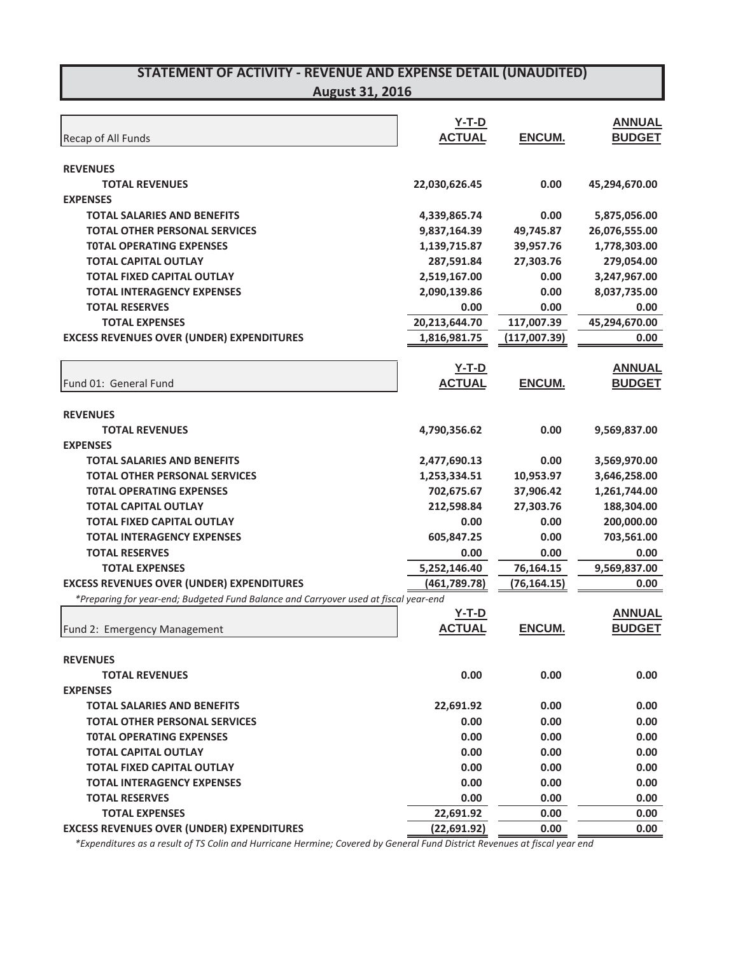| Recap of All Funds                                                                   | $Y-T-D$<br><b>ACTUAL</b> | ENCUM.        | <b>ANNUAL</b><br><b>BUDGET</b> |
|--------------------------------------------------------------------------------------|--------------------------|---------------|--------------------------------|
|                                                                                      |                          |               |                                |
| <b>REVENUES</b>                                                                      |                          |               |                                |
| <b>TOTAL REVENUES</b>                                                                | 22,030,626.45            | 0.00          | 45,294,670.00                  |
| <b>EXPENSES</b>                                                                      |                          |               |                                |
| <b>TOTAL SALARIES AND BENEFITS</b>                                                   | 4,339,865.74             | 0.00          | 5,875,056.00                   |
| <b>TOTAL OTHER PERSONAL SERVICES</b>                                                 | 9,837,164.39             | 49,745.87     | 26,076,555.00                  |
| <b>TOTAL OPERATING EXPENSES</b>                                                      | 1,139,715.87             | 39,957.76     | 1,778,303.00                   |
| <b>TOTAL CAPITAL OUTLAY</b>                                                          | 287,591.84               | 27,303.76     | 279,054.00                     |
| <b>TOTAL FIXED CAPITAL OUTLAY</b>                                                    | 2,519,167.00             | 0.00          | 3,247,967.00                   |
| <b>TOTAL INTERAGENCY EXPENSES</b>                                                    | 2,090,139.86             | 0.00          | 8,037,735.00                   |
| <b>TOTAL RESERVES</b>                                                                | 0.00                     | 0.00          | 0.00                           |
| <b>TOTAL EXPENSES</b>                                                                | 20,213,644.70            | 117,007.39    | 45,294,670.00                  |
| <b>EXCESS REVENUES OVER (UNDER) EXPENDITURES</b>                                     | 1,816,981.75             | (117,007.39)  | 0.00                           |
|                                                                                      |                          |               |                                |
|                                                                                      | $Y-T-D$                  |               | <b>ANNUAL</b>                  |
| Fund 01: General Fund                                                                | <b>ACTUAL</b>            | <b>ENCUM.</b> | <b>BUDGET</b>                  |
|                                                                                      |                          |               |                                |
| <b>REVENUES</b>                                                                      |                          |               |                                |
| <b>TOTAL REVENUES</b>                                                                | 4,790,356.62             | 0.00          | 9,569,837.00                   |
| <b>EXPENSES</b>                                                                      |                          |               |                                |
| <b>TOTAL SALARIES AND BENEFITS</b>                                                   | 2,477,690.13             | 0.00          | 3,569,970.00                   |
| <b>TOTAL OTHER PERSONAL SERVICES</b>                                                 | 1,253,334.51             | 10,953.97     | 3,646,258.00                   |
| <b>TOTAL OPERATING EXPENSES</b>                                                      | 702,675.67               | 37,906.42     | 1,261,744.00                   |
| <b>TOTAL CAPITAL OUTLAY</b>                                                          | 212,598.84               | 27,303.76     | 188,304.00                     |
| <b>TOTAL FIXED CAPITAL OUTLAY</b>                                                    | 0.00                     | 0.00          | 200,000.00                     |
| <b>TOTAL INTERAGENCY EXPENSES</b>                                                    | 605,847.25               | 0.00          | 703,561.00                     |
| <b>TOTAL RESERVES</b>                                                                | 0.00                     | 0.00          | 0.00                           |
| <b>TOTAL EXPENSES</b>                                                                | 5,252,146.40             | 76,164.15     | 9,569,837.00                   |
| <b>EXCESS REVENUES OVER (UNDER) EXPENDITURES</b>                                     |                          |               |                                |
| *Preparing for year-end; Budgeted Fund Balance and Carryover used at fiscal year-end | (461,789.78)             | (76, 164.15)  | 0.00                           |
|                                                                                      | $Y-T-D$                  |               | <b>ANNUAL</b>                  |
| Fund 2: Emergency Management                                                         | <b>ACTUAL</b>            | <b>ENCUM.</b> | <b>BUDGET</b>                  |
|                                                                                      |                          |               |                                |
| <b>REVENUES</b>                                                                      |                          |               |                                |
| <b>TOTAL REVENUES</b>                                                                | 0.00                     | 0.00          | 0.00                           |
| <b>EXPENSES</b>                                                                      |                          |               |                                |
|                                                                                      |                          |               |                                |
| <b>TOTAL SALARIES AND BENEFITS</b><br><b>TOTAL OTHER PERSONAL SERVICES</b>           | 22,691.92                | 0.00          | 0.00                           |
|                                                                                      | 0.00                     | 0.00          | 0.00                           |
| <b>TOTAL OPERATING EXPENSES</b>                                                      | 0.00                     | 0.00          | 0.00                           |
| <b>TOTAL CAPITAL OUTLAY</b>                                                          | 0.00                     | 0.00          | 0.00                           |
| <b>TOTAL FIXED CAPITAL OUTLAY</b>                                                    | 0.00                     | 0.00          | 0.00                           |
| <b>TOTAL INTERAGENCY EXPENSES</b>                                                    | 0.00                     | 0.00          | 0.00                           |
| <b>TOTAL RESERVES</b>                                                                | 0.00                     | 0.00          | 0.00                           |
| <b>TOTAL EXPENSES</b>                                                                | 22,691.92                | 0.00          | 0.00                           |
| <b>EXCESS REVENUES OVER (UNDER) EXPENDITURES</b>                                     | (22, 691.92)             | 0.00          | 0.00                           |

\*Expenditures as a result of TS Colin and Hurricane Hermine; Covered by General Fund District Revenues at fiscal year end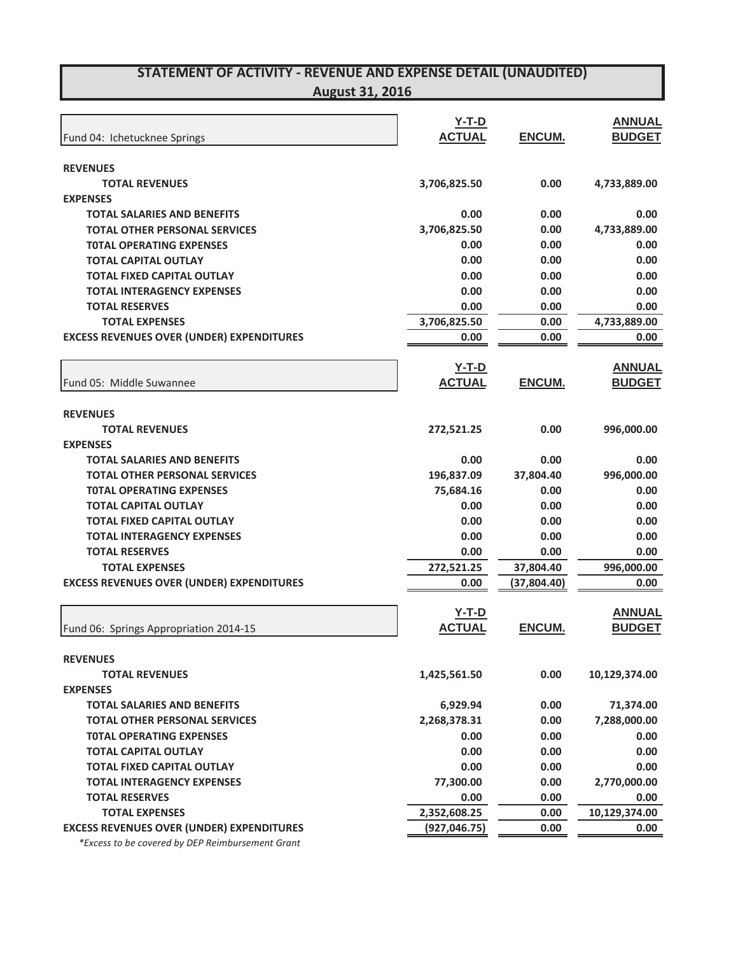## **STATEMENT OF ACTIVITYͲREVENUE AND EXPENSE DETAIL (UNAUDITED)**

| <b>August 31, 2016</b> |  |  |
|------------------------|--|--|
|                        |  |  |

|                                                  | $Y-T-D$       |             | <b>ANNUAL</b> |
|--------------------------------------------------|---------------|-------------|---------------|
| Fund 04: Ichetucknee Springs                     | <b>ACTUAL</b> | ENCUM.      | <b>BUDGET</b> |
| <b>REVENUES</b>                                  |               |             |               |
| <b>TOTAL REVENUES</b>                            | 3,706,825.50  | 0.00        | 4,733,889.00  |
| <b>EXPENSES</b>                                  |               |             |               |
| <b>TOTAL SALARIES AND BENEFITS</b>               | 0.00          | 0.00        | 0.00          |
| <b>TOTAL OTHER PERSONAL SERVICES</b>             | 3,706,825.50  | 0.00        | 4,733,889.00  |
| <b>TOTAL OPERATING EXPENSES</b>                  | 0.00          | 0.00        | 0.00          |
| <b>TOTAL CAPITAL OUTLAY</b>                      | 0.00          | 0.00        | 0.00          |
| <b>TOTAL FIXED CAPITAL OUTLAY</b>                | 0.00          | 0.00        | 0.00          |
| <b>TOTAL INTERAGENCY EXPENSES</b>                | 0.00          | 0.00        | 0.00          |
| <b>TOTAL RESERVES</b>                            | 0.00          | 0.00        | 0.00          |
| <b>TOTAL EXPENSES</b>                            | 3,706,825.50  | 0.00        | 4,733,889.00  |
| <b>EXCESS REVENUES OVER (UNDER) EXPENDITURES</b> | 0.00          | 0.00        | 0.00          |
|                                                  | <b>Y-T-D</b>  |             | <b>ANNUAL</b> |
| Fund 05: Middle Suwannee                         | <b>ACTUAL</b> | ENCUM.      | <b>BUDGET</b> |
| <b>REVENUES</b>                                  |               |             |               |
| <b>TOTAL REVENUES</b>                            | 272,521.25    | 0.00        | 996,000.00    |
| <b>EXPENSES</b>                                  |               |             |               |
| <b>TOTAL SALARIES AND BENEFITS</b>               | 0.00          | 0.00        | 0.00          |
| <b>TOTAL OTHER PERSONAL SERVICES</b>             | 196,837.09    | 37,804.40   | 996,000.00    |
| <b>TOTAL OPERATING EXPENSES</b>                  | 75,684.16     | 0.00        | 0.00          |
| <b>TOTAL CAPITAL OUTLAY</b>                      | 0.00          | 0.00        | 0.00          |
| <b>TOTAL FIXED CAPITAL OUTLAY</b>                | 0.00          | 0.00        | 0.00          |
| <b>TOTAL INTERAGENCY EXPENSES</b>                | 0.00          | 0.00        | 0.00          |
| <b>TOTAL RESERVES</b>                            | 0.00          | 0.00        | 0.00          |
| <b>TOTAL EXPENSES</b>                            | 272,521.25    | 37,804.40   | 996,000.00    |
| <b>EXCESS REVENUES OVER (UNDER) EXPENDITURES</b> | 0.00          | (37,804.40) | 0.00          |
|                                                  | <b>Y-T-D</b>  |             | <b>ANNUAL</b> |
| Fund 06: Springs Appropriation 2014-15           | <b>ACTUAL</b> | ENCUM.      | <b>BUDGET</b> |
| <b>REVENUES</b>                                  |               |             |               |
| <b>TOTAL REVENUES</b>                            | 1,425,561.50  | 0.00        | 10,129,374.00 |
| <b>EXPENSES</b>                                  |               |             |               |
| <b>TOTAL SALARIES AND BENEFITS</b>               | 6,929.94      | 0.00        | 71,374.00     |
| <b>TOTAL OTHER PERSONAL SERVICES</b>             | 2,268,378.31  | 0.00        | 7,288,000.00  |
| <b>TOTAL OPERATING EXPENSES</b>                  | 0.00          | 0.00        | 0.00          |
| <b>TOTAL CAPITAL OUTLAY</b>                      | 0.00          | 0.00        | 0.00          |
| <b>TOTAL FIXED CAPITAL OUTLAY</b>                | 0.00          | 0.00        | 0.00          |
| <b>TOTAL INTERAGENCY EXPENSES</b>                | 77,300.00     | 0.00        | 2,770,000.00  |
| <b>TOTAL RESERVES</b>                            | 0.00          | 0.00        | 0.00          |
| <b>TOTAL EXPENSES</b>                            | 2,352,608.25  | 0.00        | 10,129,374.00 |
| <b>EXCESS REVENUES OVER (UNDER) EXPENDITURES</b> | (927, 046.75) | 0.00        | 0.00          |
|                                                  |               |             |               |

*\*Excess to be covered by DEP Reimbursement Grant*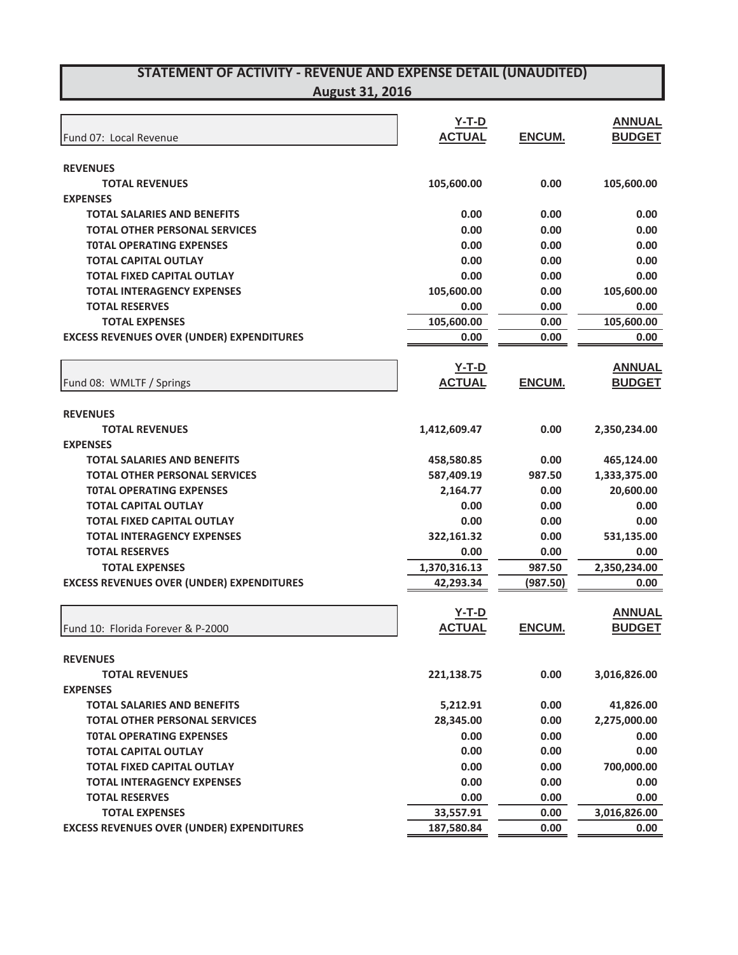| Fund 07: Local Revenue                           | $Y-T-D$<br><b>ACTUAL</b> | ENCUM.        | <b>ANNUAL</b><br><b>BUDGET</b> |
|--------------------------------------------------|--------------------------|---------------|--------------------------------|
| <b>REVENUES</b>                                  |                          |               |                                |
| <b>TOTAL REVENUES</b>                            | 105,600.00               | 0.00          | 105,600.00                     |
| <b>EXPENSES</b>                                  |                          |               |                                |
| <b>TOTAL SALARIES AND BENEFITS</b>               | 0.00                     | 0.00          | 0.00                           |
| <b>TOTAL OTHER PERSONAL SERVICES</b>             | 0.00                     | 0.00          | 0.00                           |
| <b>TOTAL OPERATING EXPENSES</b>                  | 0.00                     | 0.00          | 0.00                           |
| <b>TOTAL CAPITAL OUTLAY</b>                      | 0.00                     | 0.00          | 0.00                           |
| <b>TOTAL FIXED CAPITAL OUTLAY</b>                | 0.00                     | 0.00          | 0.00                           |
| <b>TOTAL INTERAGENCY EXPENSES</b>                | 105,600.00               | 0.00          | 105,600.00                     |
| <b>TOTAL RESERVES</b>                            | 0.00                     | 0.00          | 0.00                           |
| <b>TOTAL EXPENSES</b>                            | 105,600.00               | 0.00          | 105,600.00                     |
| <b>EXCESS REVENUES OVER (UNDER) EXPENDITURES</b> | 0.00                     | 0.00          | 0.00                           |
|                                                  | $Y-T-D$                  |               | <b>ANNUAL</b>                  |
| Fund 08: WMLTF / Springs                         | <b>ACTUAL</b>            | <b>ENCUM.</b> | <b>BUDGET</b>                  |
| <b>REVENUES</b>                                  |                          |               |                                |
| <b>TOTAL REVENUES</b>                            | 1,412,609.47             | 0.00          | 2,350,234.00                   |
| <b>EXPENSES</b>                                  |                          |               |                                |
| <b>TOTAL SALARIES AND BENEFITS</b>               | 458,580.85               | 0.00          | 465,124.00                     |
| <b>TOTAL OTHER PERSONAL SERVICES</b>             | 587,409.19               | 987.50        | 1,333,375.00                   |
| <b>TOTAL OPERATING EXPENSES</b>                  | 2,164.77                 | 0.00          | 20,600.00                      |
| <b>TOTAL CAPITAL OUTLAY</b>                      | 0.00                     | 0.00          | 0.00                           |
| <b>TOTAL FIXED CAPITAL OUTLAY</b>                | 0.00                     | 0.00          | 0.00                           |
| <b>TOTAL INTERAGENCY EXPENSES</b>                | 322,161.32               | 0.00          | 531,135.00                     |
| <b>TOTAL RESERVES</b>                            | 0.00                     | 0.00          | 0.00                           |
| <b>TOTAL EXPENSES</b>                            | 1,370,316.13             | 987.50        | 2,350,234.00                   |
| <b>EXCESS REVENUES OVER (UNDER) EXPENDITURES</b> | 42,293.34                | (987.50)      | 0.00                           |
|                                                  |                          |               |                                |
|                                                  | $Y-T-D$                  |               | <b>ANNUAL</b>                  |
| Fund 10: Florida Forever & P-2000                | <b>ACTUAL</b>            | ENCUM.        | <b>BUDGET</b>                  |
| <b>REVENUES</b>                                  |                          |               |                                |

| <b>REVENUES</b>                                  |            |      |              |
|--------------------------------------------------|------------|------|--------------|
| <b>TOTAL REVENUES</b>                            | 221,138.75 | 0.00 | 3,016,826.00 |
| <b>EXPENSES</b>                                  |            |      |              |
| <b>TOTAL SALARIES AND BENEFITS</b>               | 5,212.91   | 0.00 | 41,826.00    |
| <b>TOTAL OTHER PERSONAL SERVICES</b>             | 28,345.00  | 0.00 | 2,275,000.00 |
| <b>TOTAL OPERATING EXPENSES</b>                  | 0.00       | 0.00 | 0.00         |
| <b>TOTAL CAPITAL OUTLAY</b>                      | 0.00       | 0.00 | 0.00         |
| <b>TOTAL FIXED CAPITAL OUTLAY</b>                | 0.00       | 0.00 | 700,000.00   |
| <b>TOTAL INTERAGENCY EXPENSES</b>                | 0.00       | 0.00 | 0.00         |
| <b>TOTAL RESERVES</b>                            | 0.00       | 0.00 | 0.00         |
| <b>TOTAL EXPENSES</b>                            | 33,557.91  | 0.00 | 3,016,826.00 |
| <b>EXCESS REVENUES OVER (UNDER) EXPENDITURES</b> | 187.580.84 | 0.00 | 0.00         |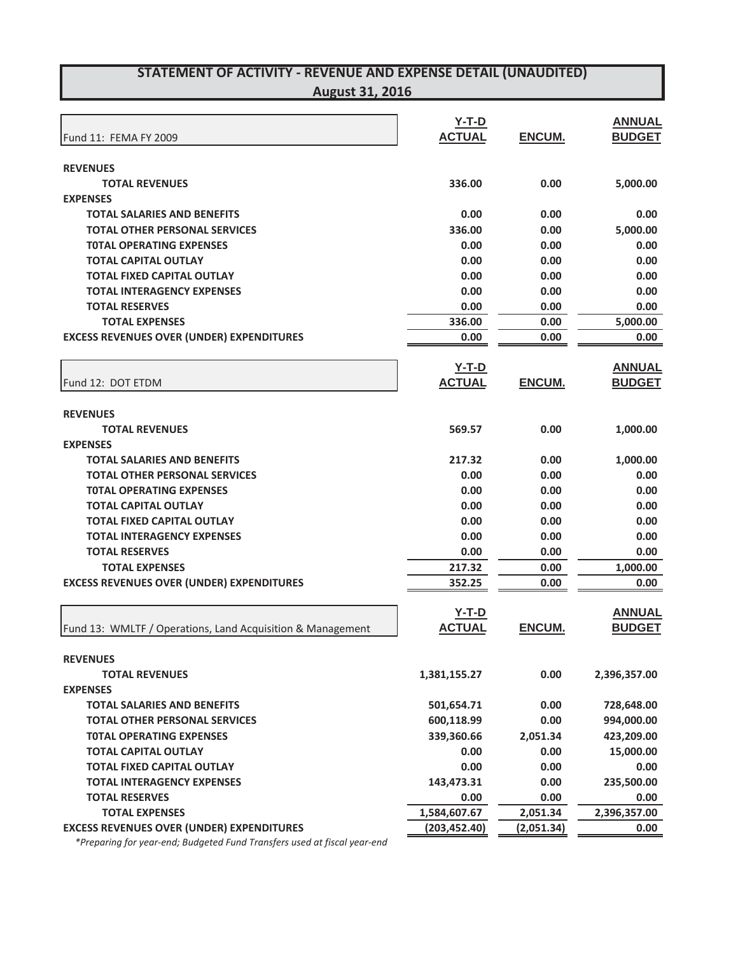| Fund 11: FEMA FY 2009                                      | $Y-T-D$<br><b>ACTUAL</b> | <b>ENCUM.</b> | <b>ANNUAL</b><br><b>BUDGET</b> |
|------------------------------------------------------------|--------------------------|---------------|--------------------------------|
| <b>REVENUES</b>                                            |                          |               |                                |
| <b>TOTAL REVENUES</b>                                      | 336.00                   | 0.00          | 5,000.00                       |
| <b>EXPENSES</b>                                            |                          |               |                                |
| <b>TOTAL SALARIES AND BENEFITS</b>                         | 0.00                     | 0.00          | 0.00                           |
| <b>TOTAL OTHER PERSONAL SERVICES</b>                       | 336.00                   | 0.00          | 5,000.00                       |
| <b>TOTAL OPERATING EXPENSES</b>                            | 0.00                     | 0.00          | 0.00                           |
| <b>TOTAL CAPITAL OUTLAY</b>                                | 0.00                     | 0.00          | 0.00                           |
| <b>TOTAL FIXED CAPITAL OUTLAY</b>                          | 0.00                     | 0.00          | 0.00                           |
| <b>TOTAL INTERAGENCY EXPENSES</b>                          | 0.00                     | 0.00          | 0.00                           |
| <b>TOTAL RESERVES</b>                                      | 0.00                     | 0.00          | 0.00                           |
| <b>TOTAL EXPENSES</b>                                      | 336.00                   | 0.00          | 5,000.00                       |
| <b>EXCESS REVENUES OVER (UNDER) EXPENDITURES</b>           | 0.00                     | 0.00          | 0.00                           |
|                                                            |                          |               |                                |
|                                                            | $Y-T-D$                  |               | <b>ANNUAL</b>                  |
| Fund 12: DOT ETDM                                          | <b>ACTUAL</b>            | ENCUM.        | <b>BUDGET</b>                  |
| <b>REVENUES</b>                                            |                          |               |                                |
| <b>TOTAL REVENUES</b>                                      | 569.57                   | 0.00          | 1,000.00                       |
| <b>EXPENSES</b>                                            |                          |               |                                |
| <b>TOTAL SALARIES AND BENEFITS</b>                         | 217.32                   | 0.00          | 1,000.00                       |
| <b>TOTAL OTHER PERSONAL SERVICES</b>                       | 0.00                     | 0.00          | 0.00                           |
| <b>TOTAL OPERATING EXPENSES</b>                            | 0.00                     | 0.00          | 0.00                           |
| <b>TOTAL CAPITAL OUTLAY</b>                                | 0.00                     | 0.00          | 0.00                           |
| <b>TOTAL FIXED CAPITAL OUTLAY</b>                          | 0.00                     | 0.00          | 0.00                           |
| <b>TOTAL INTERAGENCY EXPENSES</b>                          | 0.00                     | 0.00          | 0.00                           |
| <b>TOTAL RESERVES</b>                                      | 0.00                     | 0.00          | 0.00                           |
| <b>TOTAL EXPENSES</b>                                      | 217.32                   | 0.00          | 1,000.00                       |
| <b>EXCESS REVENUES OVER (UNDER) EXPENDITURES</b>           | 352.25                   | 0.00          | 0.00                           |
|                                                            |                          |               |                                |
|                                                            | $Y-T-D$                  |               | <b>ANNUAL</b>                  |
| Fund 13: WMLTF / Operations, Land Acquisition & Management | <b>ACTUAL</b>            | <b>ENCUM.</b> | <b>BUDGET</b>                  |
|                                                            |                          |               |                                |
| <b>REVENUES</b>                                            |                          |               |                                |
| <b>TOTAL REVENUES</b>                                      | 1,381,155.27             | 0.00          | 2,396,357.00                   |
| <b>EXPENSES</b>                                            |                          |               |                                |
| <b>TOTAL SALARIES AND BENEFITS</b>                         | 501,654.71               | 0.00          | 728,648.00                     |
| <b>TOTAL OTHER PERSONAL SERVICES</b>                       | 600,118.99               | 0.00          | 994,000.00                     |
| <b>TOTAL OPERATING EXPENSES</b>                            | 339,360.66               | 2,051.34      | 423,209.00                     |
| <b>TOTAL CAPITAL OUTLAY</b>                                | 0.00                     | 0.00          | 15,000.00                      |
| <b>TOTAL FIXED CAPITAL OUTLAY</b>                          | 0.00                     | 0.00          | 0.00                           |
| <b>TOTAL INTERAGENCY EXPENSES</b>                          | 143,473.31               | 0.00          | 235,500.00                     |
| <b>TOTAL RESERVES</b>                                      | 0.00                     | 0.00          | 0.00                           |
| <b>TOTAL EXPENSES</b>                                      | 1,584,607.67             | 2,051.34      | 2,396,357.00                   |

**EXCESS REVENUES OVER (UNDER) EXPENDITURES (203,452.40) (2,051.34) 0.00**

*\*Preparing for yearͲend; Budgeted Fund Transfers used at fiscal yearͲend*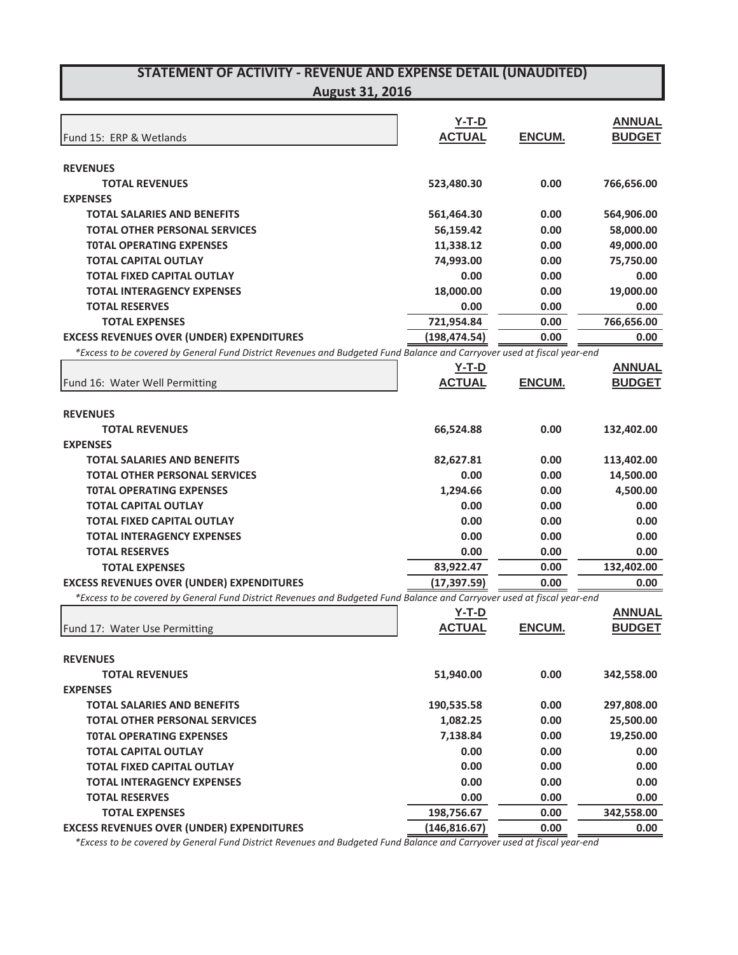| Fund 15: ERP & Wetlands                                                                                                 | $Y-T-D$<br><b>ACTUAL</b> | ENCUM.        | <b>ANNUAL</b><br><b>BUDGET</b> |
|-------------------------------------------------------------------------------------------------------------------------|--------------------------|---------------|--------------------------------|
|                                                                                                                         |                          |               |                                |
| <b>REVENUES</b>                                                                                                         |                          |               |                                |
| <b>TOTAL REVENUES</b>                                                                                                   | 523,480.30               | 0.00          | 766,656.00                     |
| <b>EXPENSES</b>                                                                                                         |                          |               |                                |
| <b>TOTAL SALARIES AND BENEFITS</b>                                                                                      | 561,464.30               | 0.00          | 564,906.00                     |
| <b>TOTAL OTHER PERSONAL SERVICES</b>                                                                                    | 56,159.42                | 0.00          | 58,000.00                      |
| <b>TOTAL OPERATING EXPENSES</b>                                                                                         | 11,338.12                | 0.00          | 49,000.00                      |
| <b>TOTAL CAPITAL OUTLAY</b>                                                                                             | 74,993.00                | 0.00          | 75,750.00                      |
| <b>TOTAL FIXED CAPITAL OUTLAY</b>                                                                                       | 0.00                     | 0.00          | 0.00                           |
| <b>TOTAL INTERAGENCY EXPENSES</b>                                                                                       | 18,000.00                | 0.00          | 19,000.00                      |
| <b>TOTAL RESERVES</b>                                                                                                   | 0.00                     | 0.00          | 0.00                           |
| <b>TOTAL EXPENSES</b>                                                                                                   | 721,954.84               | 0.00          | 766,656.00                     |
| <b>EXCESS REVENUES OVER (UNDER) EXPENDITURES</b>                                                                        | (198, 474.54)            | 0.00          | 0.00                           |
| *Excess to be covered by General Fund District Revenues and Budgeted Fund Balance and Carryover used at fiscal year-end |                          |               |                                |
|                                                                                                                         | <u>Y-T-D</u>             |               | <b>ANNUAL</b>                  |
| Fund 16: Water Well Permitting                                                                                          | <b>ACTUAL</b>            | ENCUM.        | <b>BUDGET</b>                  |
| <b>REVENUES</b>                                                                                                         |                          |               |                                |
| <b>TOTAL REVENUES</b>                                                                                                   | 66,524.88                | 0.00          | 132,402.00                     |
| <b>EXPENSES</b>                                                                                                         |                          |               |                                |
| <b>TOTAL SALARIES AND BENEFITS</b>                                                                                      | 82,627.81                | 0.00          | 113,402.00                     |
| <b>TOTAL OTHER PERSONAL SERVICES</b>                                                                                    | 0.00                     | 0.00          | 14,500.00                      |
| <b>TOTAL OPERATING EXPENSES</b>                                                                                         | 1,294.66                 | 0.00          | 4,500.00                       |
| <b>TOTAL CAPITAL OUTLAY</b>                                                                                             | 0.00                     | 0.00          | 0.00                           |
| <b>TOTAL FIXED CAPITAL OUTLAY</b>                                                                                       | 0.00                     | 0.00          | 0.00                           |
| <b>TOTAL INTERAGENCY EXPENSES</b>                                                                                       | 0.00                     | 0.00          | 0.00                           |
| <b>TOTAL RESERVES</b>                                                                                                   | 0.00                     | 0.00          | 0.00                           |
| <b>TOTAL EXPENSES</b>                                                                                                   | 83,922.47                | 0.00          | 132,402.00                     |
| <b>EXCESS REVENUES OVER (UNDER) EXPENDITURES</b>                                                                        | (17, 397.59)             | 0.00          | 0.00                           |
| *Excess to be covered by General Fund District Revenues and Budgeted Fund Balance and Carryover used at fiscal year-end |                          |               |                                |
|                                                                                                                         | $Y-T-D$                  |               | <b>ANNUAL</b>                  |
| Fund 17: Water Use Permitting                                                                                           | <b>ACTUAL</b>            | <b>ENCUM.</b> | <b>BUDGET</b>                  |
| <b>REVENUES</b>                                                                                                         |                          |               |                                |
| <b>TOTAL REVENUES</b>                                                                                                   | 51,940.00                | 0.00          | 342,558.00                     |
| <b>EXPENSES</b>                                                                                                         |                          |               |                                |
| <b>TOTAL SALARIES AND BENEFITS</b>                                                                                      | 190,535.58               | 0.00          | 297,808.00                     |
| <b>TOTAL OTHER PERSONAL SERVICES</b>                                                                                    | 1,082.25                 | 0.00          | 25,500.00                      |
| <b>TOTAL OPERATING EXPENSES</b>                                                                                         | 7,138.84                 | 0.00          | 19,250.00                      |
| <b>TOTAL CAPITAL OUTLAY</b>                                                                                             | 0.00                     | 0.00          | 0.00                           |
| <b>TOTAL FIXED CAPITAL OUTLAY</b>                                                                                       | 0.00                     | 0.00          | 0.00                           |
| <b>TOTAL INTERAGENCY EXPENSES</b>                                                                                       | 0.00                     | 0.00          | 0.00                           |
| <b>TOTAL RESERVES</b>                                                                                                   | 0.00                     | 0.00          | 0.00                           |
| <b>TOTAL EXPENSES</b>                                                                                                   | 198,756.67               | 0.00          | 342,558.00                     |
| <b>EXCESS REVENUES OVER (UNDER) EXPENDITURES</b>                                                                        | (146, 816.67)            | 0.00          | 0.00                           |
|                                                                                                                         |                          |               |                                |

\*Excess to be covered by General Fund District Revenues and Budgeted Fund Balance and Carryover used at fiscal year-end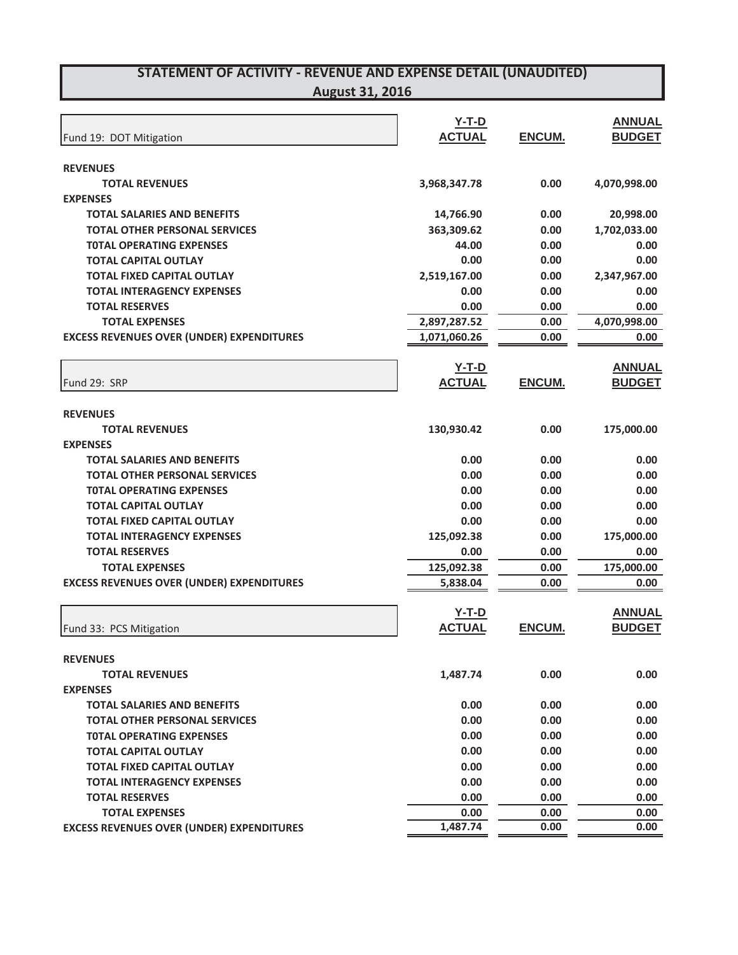| August 31, 2016 |  |  |
|-----------------|--|--|
|                 |  |  |

|                                                                         | <u>Y-T-D</u>  |              | <b>ANNUAL</b> |
|-------------------------------------------------------------------------|---------------|--------------|---------------|
| Fund 19: DOT Mitigation                                                 | <b>ACTUAL</b> | ENCUM.       | <b>BUDGET</b> |
| <b>REVENUES</b>                                                         |               |              |               |
| <b>TOTAL REVENUES</b>                                                   | 3,968,347.78  | 0.00         | 4,070,998.00  |
| <b>EXPENSES</b>                                                         |               |              |               |
| <b>TOTAL SALARIES AND BENEFITS</b>                                      | 14,766.90     | 0.00         | 20,998.00     |
| <b>TOTAL OTHER PERSONAL SERVICES</b>                                    | 363,309.62    | 0.00         | 1,702,033.00  |
| <b>TOTAL OPERATING EXPENSES</b>                                         | 44.00         | 0.00         | 0.00          |
| <b>TOTAL CAPITAL OUTLAY</b>                                             | 0.00          | 0.00         | 0.00          |
| <b>TOTAL FIXED CAPITAL OUTLAY</b>                                       | 2,519,167.00  | 0.00         | 2,347,967.00  |
| <b>TOTAL INTERAGENCY EXPENSES</b>                                       | 0.00          | 0.00         | 0.00          |
| <b>TOTAL RESERVES</b>                                                   | 0.00          | 0.00         | 0.00          |
| <b>TOTAL EXPENSES</b>                                                   | 2,897,287.52  | 0.00         | 4,070,998.00  |
| <b>EXCESS REVENUES OVER (UNDER) EXPENDITURES</b>                        | 1,071,060.26  | 0.00         | 0.00          |
|                                                                         | <u>Y-T-D</u>  |              | <b>ANNUAL</b> |
| Fund 29: SRP                                                            | <b>ACTUAL</b> | ENCUM.       | <b>BUDGET</b> |
|                                                                         |               |              |               |
| <b>REVENUES</b><br><b>TOTAL REVENUES</b>                                | 130,930.42    | 0.00         | 175,000.00    |
| <b>EXPENSES</b>                                                         |               |              |               |
| <b>TOTAL SALARIES AND BENEFITS</b>                                      | 0.00          | 0.00         | 0.00          |
| <b>TOTAL OTHER PERSONAL SERVICES</b>                                    | 0.00          | 0.00         | 0.00          |
| <b>TOTAL OPERATING EXPENSES</b>                                         | 0.00          | 0.00         | 0.00          |
| <b>TOTAL CAPITAL OUTLAY</b>                                             | 0.00          | 0.00         | 0.00          |
| <b>TOTAL FIXED CAPITAL OUTLAY</b>                                       | 0.00          | 0.00         | 0.00          |
| <b>TOTAL INTERAGENCY EXPENSES</b>                                       | 125,092.38    | 0.00         | 175,000.00    |
| <b>TOTAL RESERVES</b>                                                   | 0.00          | 0.00         | 0.00          |
| <b>TOTAL EXPENSES</b>                                                   | 125,092.38    | 0.00         | 175,000.00    |
| <b>EXCESS REVENUES OVER (UNDER) EXPENDITURES</b>                        | 5,838.04      | 0.00         | 0.00          |
|                                                                         | $Y-T-D$       |              | <b>ANNUAL</b> |
| Fund 33: PCS Mitigation                                                 | <b>ACTUAL</b> | ENCUM.       | <b>BUDGET</b> |
|                                                                         |               |              |               |
| <b>REVENUES</b>                                                         |               |              |               |
| <b>TOTAL REVENUES</b>                                                   | 1.487.74      | 0.00         | 0.00          |
| <b>EXPENSES</b>                                                         |               |              |               |
| <b>TOTAL SALARIES AND BENEFITS</b>                                      | 0.00          | 0.00<br>0.00 | 0.00          |
| <b>TOTAL OTHER PERSONAL SERVICES</b><br><b>TOTAL OPERATING EXPENSES</b> | 0.00<br>0.00  |              | 0.00          |
| <b>TOTAL CAPITAL OUTLAY</b>                                             | 0.00          | 0.00<br>0.00 | 0.00<br>0.00  |
| <b>TOTAL FIXED CAPITAL OUTLAY</b>                                       | 0.00          | 0.00         | 0.00          |
| <b>TOTAL INTERAGENCY EXPENSES</b>                                       | 0.00          | 0.00         | 0.00          |
| <b>TOTAL RESERVES</b>                                                   | 0.00          | 0.00         | 0.00          |
| <b>TOTAL EXPENSES</b>                                                   | 0.00          | 0.00         | 0.00          |
| <b>EXCESS REVENUES OVER (UNDER) EXPENDITURES</b>                        | 1,487.74      | 0.00         | 0.00          |
|                                                                         |               |              |               |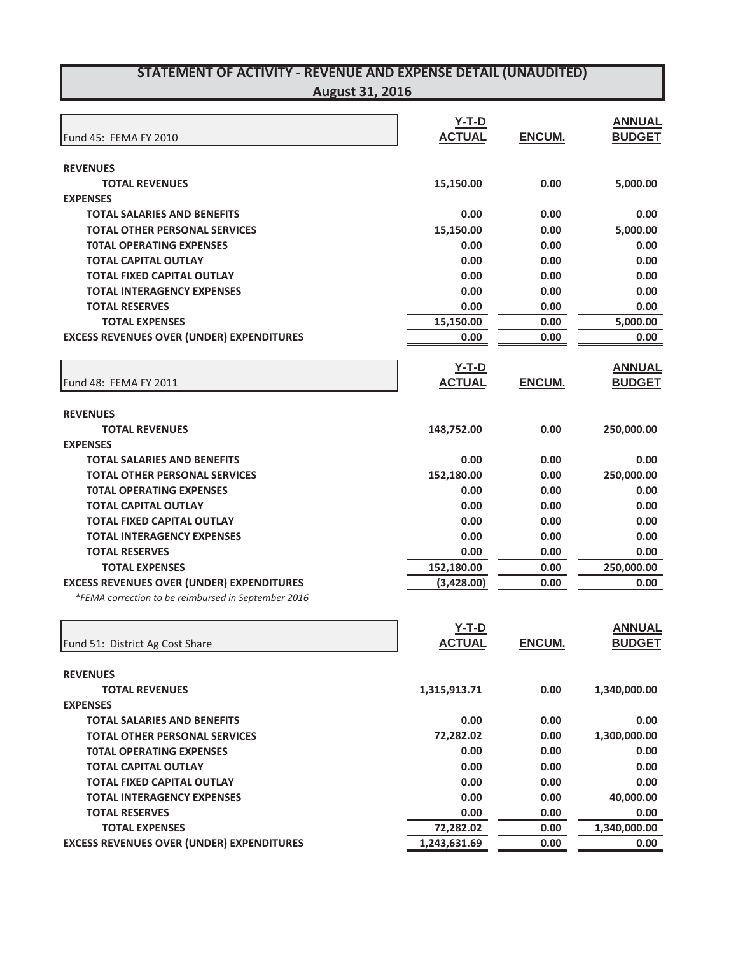|                                                     | $Y-T-D$       |               | <b>ANNUAL</b> |
|-----------------------------------------------------|---------------|---------------|---------------|
| Fund 45: FEMA FY 2010                               | <b>ACTUAL</b> | ENCUM.        | <b>BUDGET</b> |
| <b>REVENUES</b>                                     |               |               |               |
| <b>TOTAL REVENUES</b>                               | 15,150.00     | 0.00          | 5,000.00      |
| <b>EXPENSES</b>                                     |               |               |               |
| <b>TOTAL SALARIES AND BENEFITS</b>                  | 0.00          | 0.00          | 0.00          |
| <b>TOTAL OTHER PERSONAL SERVICES</b>                | 15,150.00     | 0.00          | 5,000.00      |
| <b>TOTAL OPERATING EXPENSES</b>                     | 0.00          | 0.00          | 0.00          |
| <b>TOTAL CAPITAL OUTLAY</b>                         | 0.00          | 0.00          | 0.00          |
| <b>TOTAL FIXED CAPITAL OUTLAY</b>                   | 0.00          | 0.00          | 0.00          |
| <b>TOTAL INTERAGENCY EXPENSES</b>                   | 0.00          | 0.00          | 0.00          |
| <b>TOTAL RESERVES</b>                               | 0.00          | 0.00          | 0.00          |
| <b>TOTAL EXPENSES</b>                               | 15,150.00     | 0.00          | 5,000.00      |
| <b>EXCESS REVENUES OVER (UNDER) EXPENDITURES</b>    | 0.00          | 0.00          | 0.00          |
|                                                     | $Y-T-D$       |               | <b>ANNUAL</b> |
| Fund 48: FEMA FY 2011                               | <b>ACTUAL</b> | <b>ENCUM.</b> | <b>BUDGET</b> |
| <b>REVENUES</b>                                     |               |               |               |
| <b>TOTAL REVENUES</b>                               | 148,752.00    | 0.00          | 250,000.00    |
| <b>EXPENSES</b>                                     |               |               |               |
| <b>TOTAL SALARIES AND BENEFITS</b>                  | 0.00          | 0.00          | 0.00          |
| <b>TOTAL OTHER PERSONAL SERVICES</b>                | 152,180.00    | 0.00          | 250,000.00    |
| <b>TOTAL OPERATING EXPENSES</b>                     | 0.00          | 0.00          | 0.00          |
| <b>TOTAL CAPITAL OUTLAY</b>                         | 0.00          | 0.00          | 0.00          |
| <b>TOTAL FIXED CAPITAL OUTLAY</b>                   | 0.00          | 0.00          | 0.00          |
| <b>TOTAL INTERAGENCY EXPENSES</b>                   | 0.00          | 0.00          | 0.00          |
| <b>TOTAL RESERVES</b>                               | 0.00          | 0.00          | 0.00          |
| <b>TOTAL EXPENSES</b>                               | 152,180.00    | 0.00          | 250,000.00    |
| <b>EXCESS REVENUES OVER (UNDER) EXPENDITURES</b>    | (3,428.00)    | 0.00          | 0.00          |
| *FEMA correction to be reimbursed in September 2016 |               |               |               |
|                                                     | $Y-T-D$       |               | <b>ANNUAL</b> |
| Fund 51: District Ag Cost Share                     | <b>ACTUAL</b> | ENCUM.        | <b>BUDGET</b> |
| <b>REVENUES</b>                                     |               |               |               |
| <b>TOTAL REVENUES</b>                               | 1,315,913.71  | 0.00          | 1,340,000.00  |

| TOTAL REVENUES                                   | 1,315,913.71 | 0.00 | 1,340,000.00 |
|--------------------------------------------------|--------------|------|--------------|
| <b>EXPENSES</b>                                  |              |      |              |
| <b>TOTAL SALARIES AND BENEFITS</b>               | 0.00         | 0.00 | 0.00         |
| <b>TOTAL OTHER PERSONAL SERVICES</b>             | 72,282.02    | 0.00 | 1,300,000.00 |
| <b>TOTAL OPERATING EXPENSES</b>                  | 0.00         | 0.00 | 0.00         |
| <b>TOTAL CAPITAL OUTLAY</b>                      | 0.00         | 0.00 | 0.00         |
| <b>TOTAL FIXED CAPITAL OUTLAY</b>                | 0.00         | 0.00 | 0.00         |
| <b>TOTAL INTERAGENCY EXPENSES</b>                | 0.00         | 0.00 | 40,000.00    |
| <b>TOTAL RESERVES</b>                            | 0.00         | 0.00 | 0.00         |
| <b>TOTAL EXPENSES</b>                            | 72.282.02    | 0.00 | 1,340,000.00 |
| <b>EXCESS REVENUES OVER (UNDER) EXPENDITURES</b> | 1,243,631.69 | 0.00 | 0.00         |
|                                                  |              |      |              |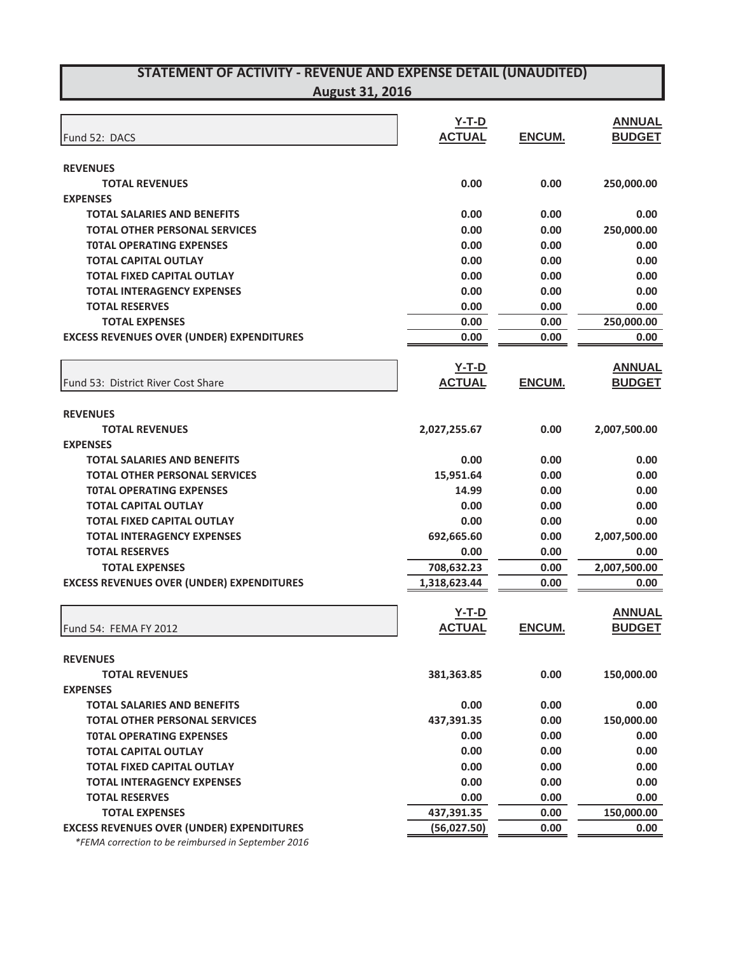| Fund 52: DACS                                    | $Y-T-D$<br><b>ACTUAL</b> | ENCUM.        | <b>ANNUAL</b><br><b>BUDGET</b> |
|--------------------------------------------------|--------------------------|---------------|--------------------------------|
| <b>REVENUES</b>                                  |                          |               |                                |
| <b>TOTAL REVENUES</b>                            | 0.00                     | 0.00          | 250,000.00                     |
| <b>EXPENSES</b>                                  |                          |               |                                |
| <b>TOTAL SALARIES AND BENEFITS</b>               | 0.00                     | 0.00          | 0.00                           |
| <b>TOTAL OTHER PERSONAL SERVICES</b>             | 0.00                     | 0.00          | 250,000.00                     |
| <b>TOTAL OPERATING EXPENSES</b>                  | 0.00                     | 0.00          | 0.00                           |
| <b>TOTAL CAPITAL OUTLAY</b>                      | 0.00                     | 0.00          | 0.00                           |
| <b>TOTAL FIXED CAPITAL OUTLAY</b>                | 0.00                     | 0.00          | 0.00                           |
| <b>TOTAL INTERAGENCY EXPENSES</b>                | 0.00                     | 0.00          | 0.00                           |
| <b>TOTAL RESERVES</b>                            | 0.00                     | 0.00          | 0.00                           |
| <b>TOTAL EXPENSES</b>                            | 0.00                     | 0.00          | 250,000.00                     |
| <b>EXCESS REVENUES OVER (UNDER) EXPENDITURES</b> | 0.00                     | 0.00          | 0.00                           |
|                                                  | $Y-T-D$                  |               | <b>ANNUAL</b>                  |
| Fund 53: District River Cost Share               | <b>ACTUAL</b>            | ENCUM.        | <b>BUDGET</b>                  |
| <b>REVENUES</b>                                  |                          |               |                                |
| <b>TOTAL REVENUES</b>                            | 2,027,255.67             | 0.00          | 2,007,500.00                   |
| <b>EXPENSES</b>                                  |                          |               |                                |
| <b>TOTAL SALARIES AND BENEFITS</b>               | 0.00                     | 0.00          | 0.00                           |
| <b>TOTAL OTHER PERSONAL SERVICES</b>             | 15,951.64                | 0.00          | 0.00                           |
| <b>TOTAL OPERATING EXPENSES</b>                  | 14.99                    | 0.00          | 0.00                           |
| <b>TOTAL CAPITAL OUTLAY</b>                      | 0.00                     | 0.00          | 0.00                           |
| <b>TOTAL FIXED CAPITAL OUTLAY</b>                | 0.00                     | 0.00          | 0.00                           |
| <b>TOTAL INTERAGENCY EXPENSES</b>                | 692,665.60               | 0.00          | 2,007,500.00                   |
| <b>TOTAL RESERVES</b>                            | 0.00                     | 0.00          | 0.00                           |
| <b>TOTAL EXPENSES</b>                            | 708,632.23               | 0.00          | 2,007,500.00                   |
| <b>EXCESS REVENUES OVER (UNDER) EXPENDITURES</b> | 1,318,623.44             | 0.00          | 0.00                           |
|                                                  | $Y-T-D$                  |               | <b>ANNUAL</b>                  |
| Fund 54: FEMA FY 2012                            | <b>ACTUAL</b>            | <b>ENCUM.</b> | <b>BUDGET</b>                  |
| <b>REVENUES</b>                                  |                          |               |                                |
| <b>TOTAL REVENUES</b>                            | 381,363.85               | 0.00          | 150,000.00                     |
| <b>EXPENSES</b>                                  |                          |               |                                |
| <b>TOTAL SALARIES AND BENEFITS</b>               | 0.00                     | 0.00          | 0.00                           |
| <b>TOTAL OTHER PERSONAL SERVICES</b>             | 437,391.35               | 0.00          | 150,000.00                     |
| <b>TOTAL OPERATING EXPENSES</b>                  | 0.00                     | 0.00          | 0.00                           |
| <b>TOTAL CAPITAL OUTLAY</b>                      | 0.00                     | 0.00          | 0.00                           |
| <b>TOTAL FIXED CAPITAL OUTLAY</b>                | 0.00                     | 0.00          | 0.00                           |
| <b>TOTAL INTERAGENCY EXPENSES</b>                | 0.00                     | 0.00          | 0.00                           |
| <b>TOTAL RESERVES</b>                            | 0.00                     | 0.00          | 0.00                           |
| <b>TOTAL EXPENSES</b>                            | 437,391.35               | 0.00          | 150,000.00                     |
| <b>EXCESS REVENUES OVER (UNDER) EXPENDITURES</b> | (56,027.50)              | 0.00          | 0.00                           |

*\*FEMA correction to be reimbursed in September 2016*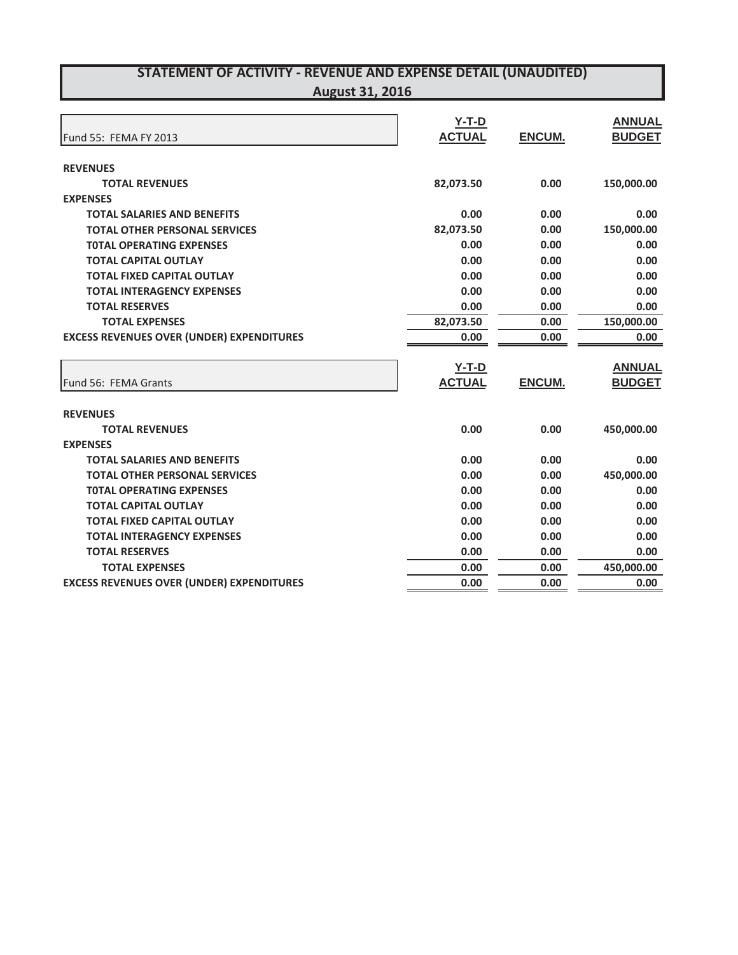| Fund 55: FEMA FY 2013                            | $Y-T-D$<br><b>ACTUAL</b> | <b>ENCUM.</b> | <b>ANNUAL</b><br><b>BUDGET</b> |
|--------------------------------------------------|--------------------------|---------------|--------------------------------|
| <b>REVENUES</b>                                  |                          |               |                                |
| <b>TOTAL REVENUES</b>                            | 82,073.50                | 0.00          | 150,000.00                     |
| <b>EXPENSES</b>                                  |                          |               |                                |
| <b>TOTAL SALARIES AND BENEFITS</b>               | 0.00                     | 0.00          | 0.00                           |
| <b>TOTAL OTHER PERSONAL SERVICES</b>             | 82,073.50                | 0.00          | 150,000.00                     |
| <b>TOTAL OPERATING EXPENSES</b>                  | 0.00                     | 0.00          | 0.00                           |
| <b>TOTAL CAPITAL OUTLAY</b>                      | 0.00                     | 0.00          | 0.00                           |
| <b>TOTAL FIXED CAPITAL OUTLAY</b>                | 0.00                     | 0.00          | 0.00                           |
| <b>TOTAL INTERAGENCY EXPENSES</b>                | 0.00                     | 0.00          | 0.00                           |
| <b>TOTAL RESERVES</b>                            | 0.00                     | 0.00          | 0.00                           |
| <b>TOTAL EXPENSES</b>                            | 82,073.50                | 0.00          | 150,000.00                     |
| <b>EXCESS REVENUES OVER (UNDER) EXPENDITURES</b> | 0.00                     | 0.00          | 0.00                           |
|                                                  | <b>Y-T-D</b>             |               | <b>ANNUAL</b>                  |
| Fund 56: FEMA Grants                             | <b>ACTUAL</b>            | <b>ENCUM.</b> | <b>BUDGET</b>                  |
| <b>REVENUES</b>                                  |                          |               |                                |
| <b>TOTAL REVENUES</b>                            | 0.00                     | 0.00          | 450,000.00                     |
| <b>EXPENSES</b>                                  |                          |               |                                |
| <b>TOTAL SALARIES AND BENEFITS</b>               | 0.00                     | 0.00          | 0.00                           |
| <b>TOTAL OTHER PERSONAL SERVICES</b>             | 0.00                     | 0.00          | 450,000.00                     |
| <b>TOTAL OPERATING EXPENSES</b>                  | 0.00                     | 0.00          | 0.00                           |
| <b>TOTAL CAPITAL OUTLAY</b>                      | 0.00                     | 0.00          | 0.00                           |
| <b>TOTAL FIXED CAPITAL OUTLAY</b>                | 0.00                     | 0.00          | 0.00                           |
| <b>TOTAL INTERAGENCY EXPENSES</b>                | 0.00                     | 0.00          | 0.00                           |
| <b>TOTAL RESERVES</b>                            | 0.00                     | 0.00          | 0.00                           |
| <b>TOTAL EXPENSES</b>                            | 0.00                     | 0.00          | 450,000.00                     |
| <b>EXCESS REVENUES OVER (UNDER) EXPENDITURES</b> | 0.00                     | 0.00          | 0.00                           |